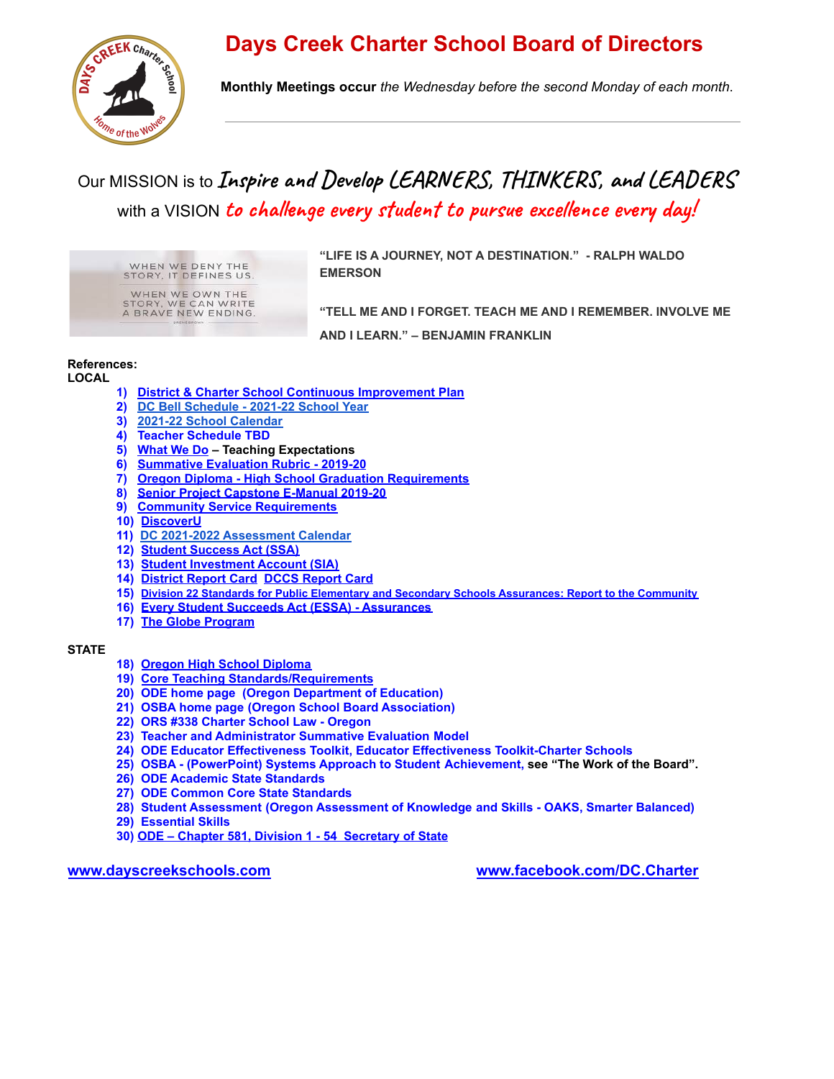# **Days Creek Charter School Board of Directors**



**Monthly Meetings occur** *the Wednesday before the second Monday of each month*.

# Our MISSION is to **Inspire and Develop LEARNERS, THINKERS, and LEADERS** with a VISION **to challenge every student to pursue excellence every day!**

WHEN WE DENY THE STORY, IT DEFINES US. WHEN WE OWN THE<br>STORY, WE CAN WRITE<br>A BRAVE NEW ENDING. **"LIFE IS A JOURNEY, NOT A DESTINATION." - RALPH WALDO EMERSON**

**"TELL ME AND I FORGET. TEACH ME AND I REMEMBER. INVOLVE ME AND I LEARN." – BENJAMIN FRANKLIN**

#### **References:**

**LOCAL**

- **1) [District & Charter School Continuous Improvement](https://docs.google.com/presentation/d/1eKE_VValITkTqj4epiddrUx36ebmqS-6kH7ZYCis9to/edit?usp=sharing) Plan**
- **2) [DC Bell Schedule 2021-22 School Year](https://docs.google.com/spreadsheets/d/16KiH_v6skD2M-wGt-FCgfsFv0vme2YiEooKIOP27L3I/edit?usp=sharing)**
- **3) [2021-22 School Calendar](https://docs.google.com/spreadsheets/d/1QqPw69qdgG3ZSyxwd2BrogfWt3aNAHKPKd9qF4O5rmo/edit?usp=sharing)**
- **4) Teacher Schedule TBD**
- **5) [What We Do](https://docs.google.com/document/d/15cnIG4_YUwzylhhE_ZTlOSxaGe8xRtg7uKdClwMMuB8/edit?usp=sharing) Teaching Expectations**
- **6) [Summative Evaluation Rubric 2019-20](https://docs.google.com/spreadsheets/d/1P61Ka27xU3pC8ob0Nm62Ym8GegJlCAL9hxfw6H8-3wY/edit#gid=0)**
- **7) [Oregon Diploma High School Graduation Requirements](https://www.oregon.gov/ode/students-and-family/OregonDiploma/Pages/Credit-Req.aspx)**
- **8) [Senior Project Capstone E-Manual 2019-20](https://docs.google.com/document/d/1QD60BEWlPBhTKTZ3XyIYUsF4gw_uuqY0_a5joafTksg/edit)**
- **9) [Community Service Requirements](https://docs.google.com/document/d/1T1etLmOhjsJQiy_jYuViLGHraTLCW8A7x3ne6Vl1kEc/edit)**
- **10) [DiscoverU](https://www.dayscreek.k12.or.us/discoveru.html)**
- **11) [DC 2021-2022 Assessment Calendar](https://docs.google.com/spreadsheets/d/12PoPwJXhVHQYvvMDXbDkgtqv8pvEVXhFQt1t5JVKeQw/edit?usp=sharing)**
- **12) [Student Success Act \(SSA\)](https://www.oregon.gov/ode/StudentSuccess/Pages/default.aspx)**
- **13) [Student Investment Account \(SIA\)](https://www.oregon.gov/ode/StudentSuccess/Pages/StudentInvestmentAccount.aspx)**
- **14) [District Report Card](https://drive.google.com/file/d/1DNc_-wPzZJfL9xG145uLHAhzy-T9MeWy/view) [DCCS Report Card](https://www.ode.state.or.us/data/reportcard/reports.aspx?id=3348)**
- **15) Division 22 Standards for Public Elementary and Secondary Schools [Assurances:](https://drive.google.com/file/d/1hxaZYPYVt9ypKFT60NVh9IsLWR21LnyS/view) Report to the Community**
- **16) [Every Student Succeeds Act \(ESSA\) Assurances](https://www.dayscreek.k12.or.us/uploads/1/2/3/1/123181851/report_card_charter_school_details_report_1718.pdf)**
- **17) [The Globe Program](https://www.globe.gov/)**

#### **STATE**

- **18) [Oregon High School Diploma](https://www.oregon.gov/ode/students-and-family/OregonDiploma/Pages/Credit-Req.aspx)**
- **19) [Core Teaching Standards/Requirements](https://secure.sos.state.or.us/oard/viewSingleRule.action?ruleVrsnRsn=145357)**
- **20) [ODE home page](http://www.oregon.gov/ode/Pages/default.aspx) (Oregon Department of Education)**
- **21) [OSBA home page](http://www.osba.org/) (Oregon School Board Association)**
- **22) [ORS #338 Charter School Law Oregon](https://www.oregonlegislature.gov/bills_laws/ors/ors338.html)**
- **23) [Teacher and Administrator Summative Evaluation](https://www.oregon.gov/ode/educator-resources/educator_effectiveness/Documents/oregon-framework--for-eval-and-support-systems.pdf) Model**
- **24) [ODE Educator Effectiveness Toolkit](http://www.oregon.gov/ode/educator-resources/educator_effectiveness/Pages/default.aspx), Educator [Effectiveness Toolkit-Charter Schools](http://www.oregon.gov/ode/educator-resources/educator_effectiveness/Pages/EEToolkit-Charter-Schools.aspx)**
- **25) [OSBA \(PowerPoint\) Systems Approach to Student](https://www.osba.org/-/media/Files/Event-Materials/SBC/2014/Workshop-Handouts/Sunday/A-Systems-Approach-to-Student-Achievement.pdf?la=en) Achievement, see "The Work of the Board".**
- **26) [ODE Academic State Standards](http://www.oregon.gov/ode/educator-resources/standards/Pages/default.aspx)**
- **27) [ODE Common Core State Standards](http://www.corestandards.org/about-the-standards)**
- **28) [Student Assessment](http://www.oregon.gov/ode/educator-resources/assessment/Pages/default.aspx) (Oregon Assessment of Knowledge and Skills OAKS, Smarter Balanced)**
- **29) [Essential Skills](http://www.oregon.gov/ode/educator-resources/essentialskills/)**
- **30) [ODE Chapter 581, Division 1 54 Secretary](https://secure.sos.state.or.us/oard/displayChapterRules.action?selectedChapter=137) of State**

**[www.dayscreekschools.com](http://www.dayscreekschools.com/) [www.facebook.com/DC.Charter](http://www.facebook.com/DC.Charter)**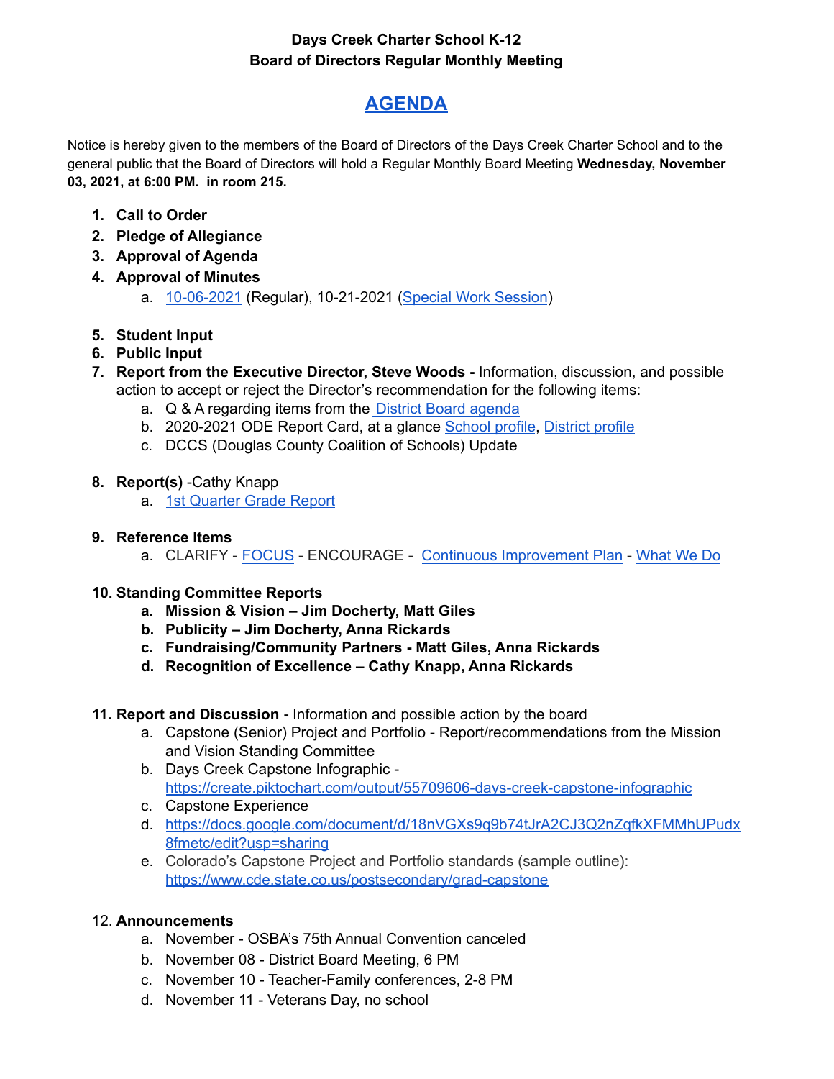### **Days Creek Charter School K-12 Board of Directors Regular Monthly Meeting**

## **[AGENDA](https://docs.google.com/spreadsheets/d/1QpZQY0KyhqguyXRVWnhGIi8B4XU95tfUiAzJ7t68sfY/edit?usp=sharing)**

Notice is hereby given to the members of the Board of Directors of the Days Creek Charter School and to the general public that the Board of Directors will hold a Regular Monthly Board Meeting **Wednesday, November 03, 2021, at 6:00 PM. in room 215.**

- **1. Call to Order**
- **2. Pledge of Allegiance**
- **3. Approval of Agenda**
- **4. Approval of Minutes**
	- a. [10-06-2021](https://docs.google.com/document/d/1UMH2pacZQQKtzB5uDk4EBBDL6oLEXVLqlIxDwoDkZAI/edit?usp=sharing) (Regular), 10-21-2021 (Special Work [Session](https://docs.google.com/document/d/1IcikolMJ1QWKn2k_04aGo00pc7f_di5_/edit?usp=sharing&ouid=102799272392595692498&rtpof=true&sd=true))
- **5. Student Input**
- **6. Public Input**
- **7. Report from the Executive Director, Steve Woods -** Information, discussion, and possible action to accept or reject the Director's recommendation for the following items:
	- a. Q & A regarding items from the District Board [agenda](https://docs.google.com/document/d/1WWPUU8QRCofh9915NcqkhGVB9P-f-Il-lfiJMk1gLKk/edit?usp=sharing)
	- b. 2020-2021 ODE Report Card, at a glance [School](https://drive.google.com/file/d/1MsdhyzSxWuth4KGAz7kQk59sG5E4hycI/view?usp=sharing) profile, [District](https://drive.google.com/file/d/1hmMy_7VP-eQ7XUGi4hDTrnlobZPo_mZI/view?usp=sharing) profile
	- c. DCCS (Douglas County Coalition of Schools) Update
- **8. Report(s)** -Cathy Knapp
	- a. 1st [Quarter](https://docs.google.com/spreadsheets/d/1FVYdDBK0dMSkg5wQy-2s8Od1Ie1MRpOvBJKuOhZFWyc/edit?usp=sharing) Grade Report
- **9. Reference Items**
	- a. CLARIFY [FOCUS](https://dayscreekschools-public.rubiconatlas.org/Atlas/Public/View/Default) ENCOURAGE Continuous [Improvement](https://docs.google.com/presentation/d/1eKE_VValITkTqj4epiddrUx36ebmqS-6kH7ZYCis9to/edit#slide=id.gc6f75fceb_0_0) Plan [What](https://docs.google.com/document/d/15cnIG4_YUwzylhhE_ZTlOSxaGe8xRtg7uKdClwMMuB8/edit?usp=sharing) We Do
- **10. Standing Committee Reports**
	- **a. Mission & Vision – Jim Docherty, Matt Giles**
	- **b. Publicity – Jim Docherty, Anna Rickards**
	- **c. Fundraising/Community Partners - Matt Giles, Anna Rickards**
	- **d. Recognition of Excellence – Cathy Knapp, Anna Rickards**
- **11. Report and Discussion -** Information and possible action by the board
	- a. Capstone (Senior) Project and Portfolio Report/recommendations from the Mission and Vision Standing Committee
	- b. Days Creek Capstone Infographic  <https://create.piktochart.com/output/55709606-days-creek-capstone-infographic>
	- c. Capstone Experience
	- d. [https://docs.google.com/document/d/18nVGXs9q9b74tJrA2CJ3Q2nZqfkXFMMhUPudx](https://docs.google.com/document/d/18nVGXs9q9b74tJrA2CJ3Q2nZqfkXFMMhUPudx8fmetc/edit?usp=sharing) [8fmetc/edit?usp=sharing](https://docs.google.com/document/d/18nVGXs9q9b74tJrA2CJ3Q2nZqfkXFMMhUPudx8fmetc/edit?usp=sharing)
	- e. Colorado's Capstone Project and Portfolio standards (sample outline): <https://www.cde.state.co.us/postsecondary/grad-capstone>

#### 12. **Announcements**

- a. November OSBA's 75th Annual Convention canceled
- b. November 08 District Board Meeting, 6 PM
- c. November 10 Teacher-Family conferences, 2-8 PM
- d. November 11 Veterans Day, no school